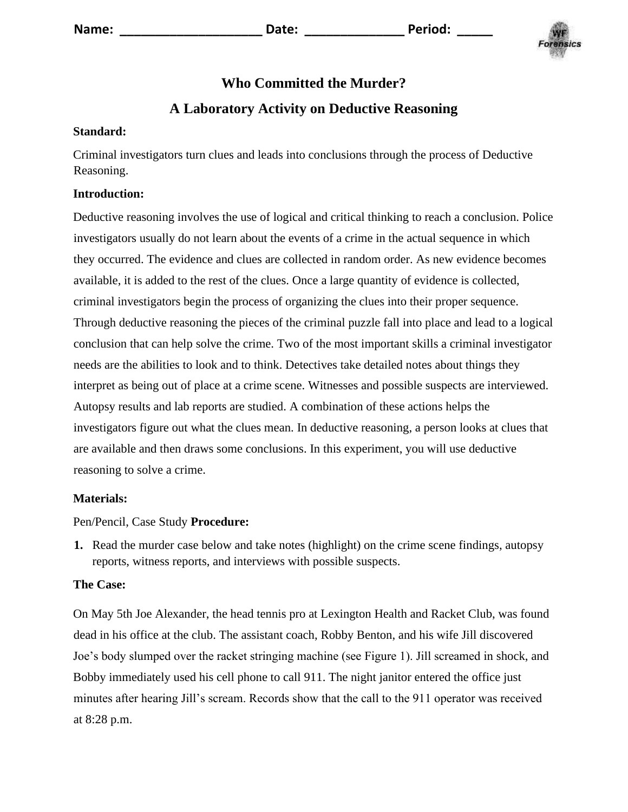Name: The Contract Date: The Period: Period:



# **Who Committed the Murder?**

# **A Laboratory Activity on Deductive Reasoning**

#### **Standard:**

Criminal investigators turn clues and leads into conclusions through the process of Deductive Reasoning.

### **Introduction:**

Deductive reasoning involves the use of logical and critical thinking to reach a conclusion. Police investigators usually do not learn about the events of a crime in the actual sequence in which they occurred. The evidence and clues are collected in random order. As new evidence becomes available, it is added to the rest of the clues. Once a large quantity of evidence is collected, criminal investigators begin the process of organizing the clues into their proper sequence. Through deductive reasoning the pieces of the criminal puzzle fall into place and lead to a logical conclusion that can help solve the crime. Two of the most important skills a criminal investigator needs are the abilities to look and to think. Detectives take detailed notes about things they interpret as being out of place at a crime scene. Witnesses and possible suspects are interviewed. Autopsy results and lab reports are studied. A combination of these actions helps the investigators figure out what the clues mean. In deductive reasoning, a person looks at clues that are available and then draws some conclusions. In this experiment, you will use deductive reasoning to solve a crime.

### **Materials:**

Pen/Pencil, Case Study **Procedure:** 

**1.** Read the murder case below and take notes (highlight) on the crime scene findings, autopsy reports, witness reports, and interviews with possible suspects.

### **The Case:**

On May 5th Joe Alexander, the head tennis pro at Lexington Health and Racket Club, was found dead in his office at the club. The assistant coach, Robby Benton, and his wife Jill discovered Joe's body slumped over the racket stringing machine (see Figure 1). Jill screamed in shock, and Bobby immediately used his cell phone to call 911. The night janitor entered the office just minutes after hearing Jill's scream. Records show that the call to the 911 operator was received at 8:28 p.m.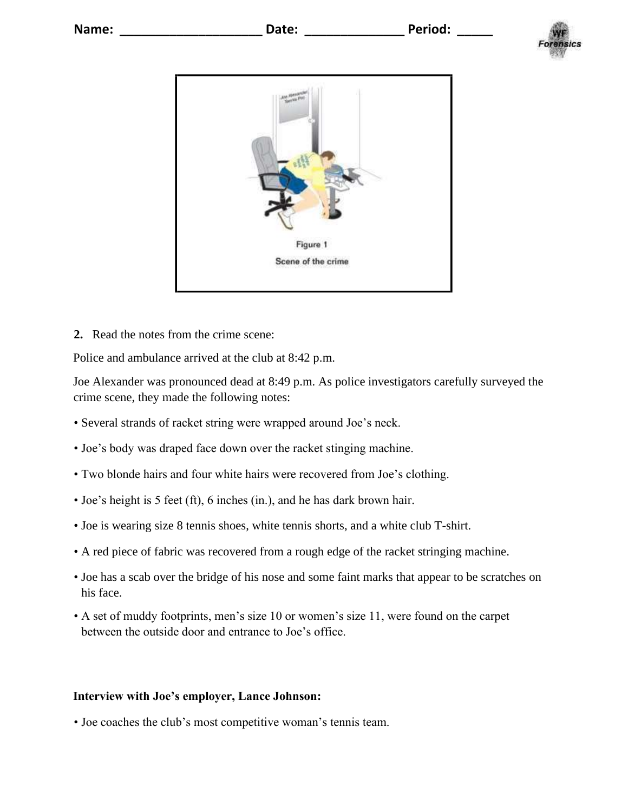Name: \_\_\_\_\_\_\_\_\_\_\_\_\_\_\_\_\_\_\_\_\_\_\_\_\_\_\_\_\_\_ Date: \_\_\_\_\_\_\_\_\_\_\_\_\_\_\_\_\_\_\_\_\_\_\_\_\_ Period: \_\_\_\_\_\_





**2.** Read the notes from the crime scene:

Police and ambulance arrived at the club at 8:42 p.m.

Joe Alexander was pronounced dead at 8:49 p.m. As police investigators carefully surveyed the crime scene, they made the following notes:

- Several strands of racket string were wrapped around Joe's neck.
- Joe's body was draped face down over the racket stinging machine.
- Two blonde hairs and four white hairs were recovered from Joe's clothing.
- Joe's height is 5 feet (ft), 6 inches (in.), and he has dark brown hair.
- Joe is wearing size 8 tennis shoes, white tennis shorts, and a white club T-shirt.
- A red piece of fabric was recovered from a rough edge of the racket stringing machine.
- Joe has a scab over the bridge of his nose and some faint marks that appear to be scratches on his face.
- A set of muddy footprints, men's size 10 or women's size 11, were found on the carpet between the outside door and entrance to Joe's office.

### **Interview with Joe's employer, Lance Johnson:**

• Joe coaches the club's most competitive woman's tennis team.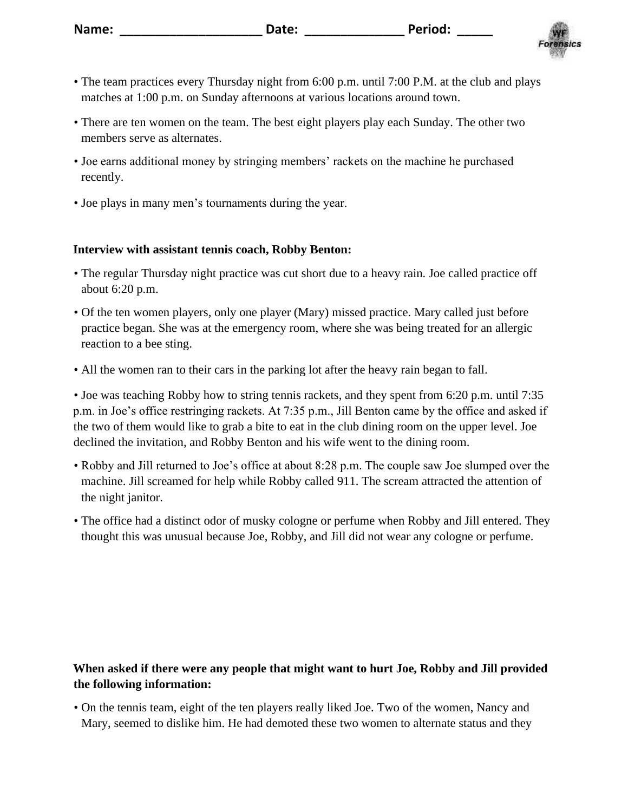

- The team practices every Thursday night from 6:00 p.m. until 7:00 P.M. at the club and plays matches at 1:00 p.m. on Sunday afternoons at various locations around town.
- There are ten women on the team. The best eight players play each Sunday. The other two members serve as alternates.
- Joe earns additional money by stringing members' rackets on the machine he purchased recently.
- Joe plays in many men's tournaments during the year.

### **Interview with assistant tennis coach, Robby Benton:**

- The regular Thursday night practice was cut short due to a heavy rain. Joe called practice off about 6:20 p.m.
- Of the ten women players, only one player (Mary) missed practice. Mary called just before practice began. She was at the emergency room, where she was being treated for an allergic reaction to a bee sting.
- All the women ran to their cars in the parking lot after the heavy rain began to fall.

• Joe was teaching Robby how to string tennis rackets, and they spent from 6:20 p.m. until 7:35 p.m. in Joe's office restringing rackets. At 7:35 p.m., Jill Benton came by the office and asked if the two of them would like to grab a bite to eat in the club dining room on the upper level. Joe declined the invitation, and Robby Benton and his wife went to the dining room.

- Robby and Jill returned to Joe's office at about 8:28 p.m. The couple saw Joe slumped over the machine. Jill screamed for help while Robby called 911. The scream attracted the attention of the night janitor.
- The office had a distinct odor of musky cologne or perfume when Robby and Jill entered. They thought this was unusual because Joe, Robby, and Jill did not wear any cologne or perfume.

## **When asked if there were any people that might want to hurt Joe, Robby and Jill provided the following information:**

• On the tennis team, eight of the ten players really liked Joe. Two of the women, Nancy and Mary, seemed to dislike him. He had demoted these two women to alternate status and they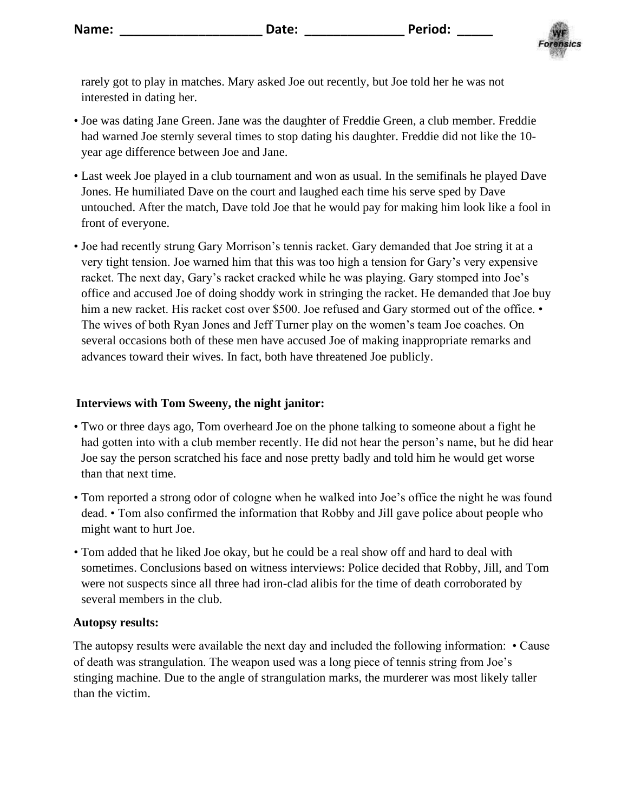

rarely got to play in matches. Mary asked Joe out recently, but Joe told her he was not interested in dating her.

- Joe was dating Jane Green. Jane was the daughter of Freddie Green, a club member. Freddie had warned Joe sternly several times to stop dating his daughter. Freddie did not like the 10 year age difference between Joe and Jane.
- Last week Joe played in a club tournament and won as usual. In the semifinals he played Dave Jones. He humiliated Dave on the court and laughed each time his serve sped by Dave untouched. After the match, Dave told Joe that he would pay for making him look like a fool in front of everyone.
- Joe had recently strung Gary Morrison's tennis racket. Gary demanded that Joe string it at a very tight tension. Joe warned him that this was too high a tension for Gary's very expensive racket. The next day, Gary's racket cracked while he was playing. Gary stomped into Joe's office and accused Joe of doing shoddy work in stringing the racket. He demanded that Joe buy him a new racket. His racket cost over \$500. Joe refused and Gary stormed out of the office. • The wives of both Ryan Jones and Jeff Turner play on the women's team Joe coaches. On several occasions both of these men have accused Joe of making inappropriate remarks and advances toward their wives. In fact, both have threatened Joe publicly.

### **Interviews with Tom Sweeny, the night janitor:**

- Two or three days ago, Tom overheard Joe on the phone talking to someone about a fight he had gotten into with a club member recently. He did not hear the person's name, but he did hear Joe say the person scratched his face and nose pretty badly and told him he would get worse than that next time.
- Tom reported a strong odor of cologne when he walked into Joe's office the night he was found dead. • Tom also confirmed the information that Robby and Jill gave police about people who might want to hurt Joe.
- Tom added that he liked Joe okay, but he could be a real show off and hard to deal with sometimes. Conclusions based on witness interviews: Police decided that Robby, Jill, and Tom were not suspects since all three had iron-clad alibis for the time of death corroborated by several members in the club.

### **Autopsy results:**

The autopsy results were available the next day and included the following information: • Cause of death was strangulation. The weapon used was a long piece of tennis string from Joe's stinging machine. Due to the angle of strangulation marks, the murderer was most likely taller than the victim.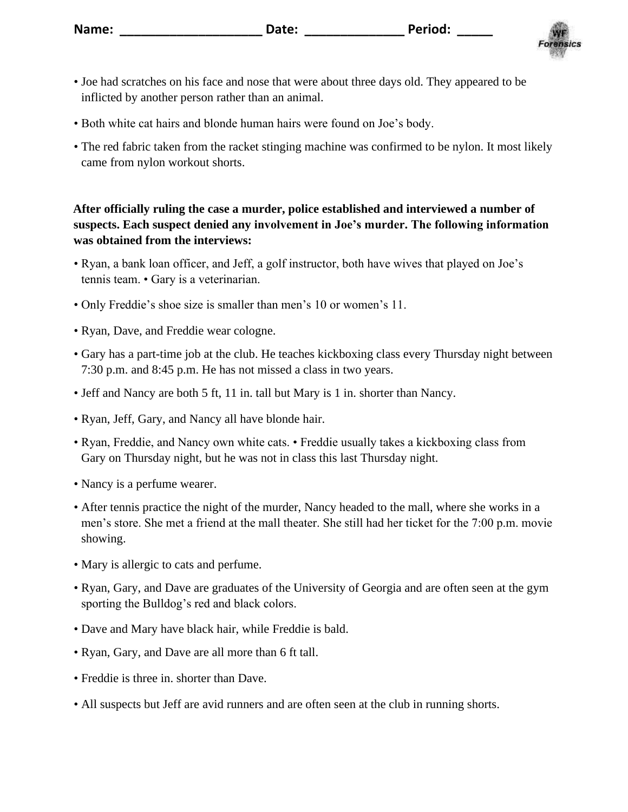

- Joe had scratches on his face and nose that were about three days old. They appeared to be inflicted by another person rather than an animal.
- Both white cat hairs and blonde human hairs were found on Joe's body.
- The red fabric taken from the racket stinging machine was confirmed to be nylon. It most likely came from nylon workout shorts.

## **After officially ruling the case a murder, police established and interviewed a number of suspects. Each suspect denied any involvement in Joe's murder. The following information was obtained from the interviews:**

- Ryan, a bank loan officer, and Jeff, a golf instructor, both have wives that played on Joe's tennis team. • Gary is a veterinarian.
- Only Freddie's shoe size is smaller than men's 10 or women's 11.
- Ryan, Dave, and Freddie wear cologne.
- Gary has a part-time job at the club. He teaches kickboxing class every Thursday night between 7:30 p.m. and 8:45 p.m. He has not missed a class in two years.
- Jeff and Nancy are both 5 ft, 11 in. tall but Mary is 1 in. shorter than Nancy.
- Ryan, Jeff, Gary, and Nancy all have blonde hair.
- Ryan, Freddie, and Nancy own white cats. Freddie usually takes a kickboxing class from Gary on Thursday night, but he was not in class this last Thursday night.
- Nancy is a perfume wearer.
- After tennis practice the night of the murder, Nancy headed to the mall, where she works in a men's store. She met a friend at the mall theater. She still had her ticket for the 7:00 p.m. movie showing.
- Mary is allergic to cats and perfume.
- Ryan, Gary, and Dave are graduates of the University of Georgia and are often seen at the gym sporting the Bulldog's red and black colors.
- Dave and Mary have black hair, while Freddie is bald.
- Ryan, Gary, and Dave are all more than 6 ft tall.
- Freddie is three in. shorter than Dave.
- All suspects but Jeff are avid runners and are often seen at the club in running shorts.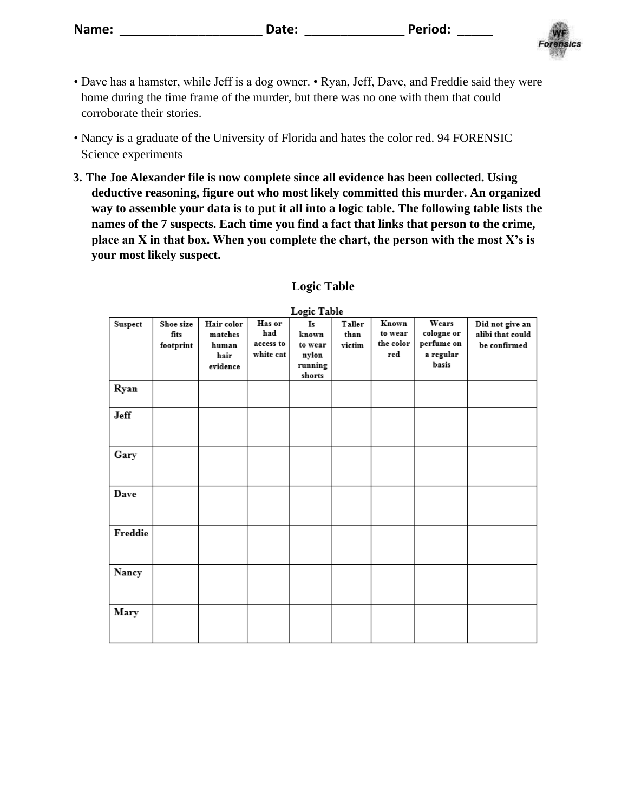

- Dave has a hamster, while Jeff is a dog owner. Ryan, Jeff, Dave, and Freddie said they were home during the time frame of the murder, but there was no one with them that could corroborate their stories.
- Nancy is a graduate of the University of Florida and hates the color red. 94 FORENSIC Science experiments
- **3. The Joe Alexander file is now complete since all evidence has been collected. Using deductive reasoning, figure out who most likely committed this murder. An organized way to assemble your data is to put it all into a logic table. The following table lists the names of the 7 suspects. Each time you find a fact that links that person to the crime, place an X in that box. When you complete the chart, the person with the most X's is your most likely suspect.**

| Logic Table |                                |                                                    |                                         |                                                      |                          |                                      |                                                         |                                                     |
|-------------|--------------------------------|----------------------------------------------------|-----------------------------------------|------------------------------------------------------|--------------------------|--------------------------------------|---------------------------------------------------------|-----------------------------------------------------|
| Suspect     | Shoe size<br>fits<br>footprint | Hair color<br>matches<br>human<br>hair<br>evidence | Has or<br>had<br>access to<br>white cat | Is<br>known<br>to wear<br>nylon<br>running<br>shorts | Taller<br>than<br>victim | Known<br>to wear<br>the color<br>red | Wears<br>cologne or<br>perfume on<br>a regular<br>basis | Did not give an<br>alibi that could<br>be confirmed |
| Ryan        |                                |                                                    |                                         |                                                      |                          |                                      |                                                         |                                                     |
| Jeff        |                                |                                                    |                                         |                                                      |                          |                                      |                                                         |                                                     |
| Gary        |                                |                                                    |                                         |                                                      |                          |                                      |                                                         |                                                     |
| Dave        |                                |                                                    |                                         |                                                      |                          |                                      |                                                         |                                                     |
| Freddie     |                                |                                                    |                                         |                                                      |                          |                                      |                                                         |                                                     |
| Nancy       |                                |                                                    |                                         |                                                      |                          |                                      |                                                         |                                                     |
| Mary        |                                |                                                    |                                         |                                                      |                          |                                      |                                                         |                                                     |

### **Logic Table**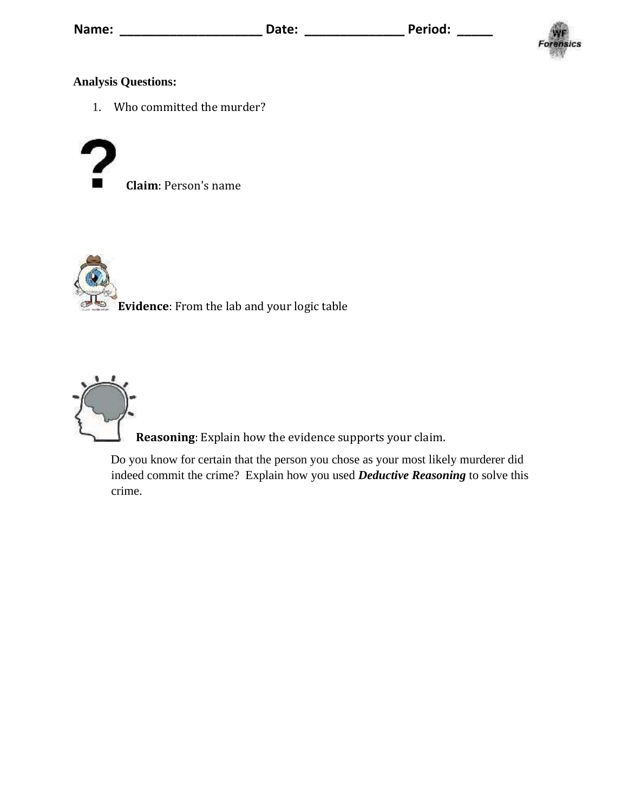| Name |  |
|------|--|
|------|--|

Date: **Name Period:** Period:



## **Analysis Questions:**

1. Who committed the murder?



**Claim**: Person's name





**Reasoning**: Explain how the evidence supports your claim.

Do you know for certain that the person you chose as your most likely murderer did indeed commit the crime? Explain how you used *Deductive Reasoning* to solve this crime.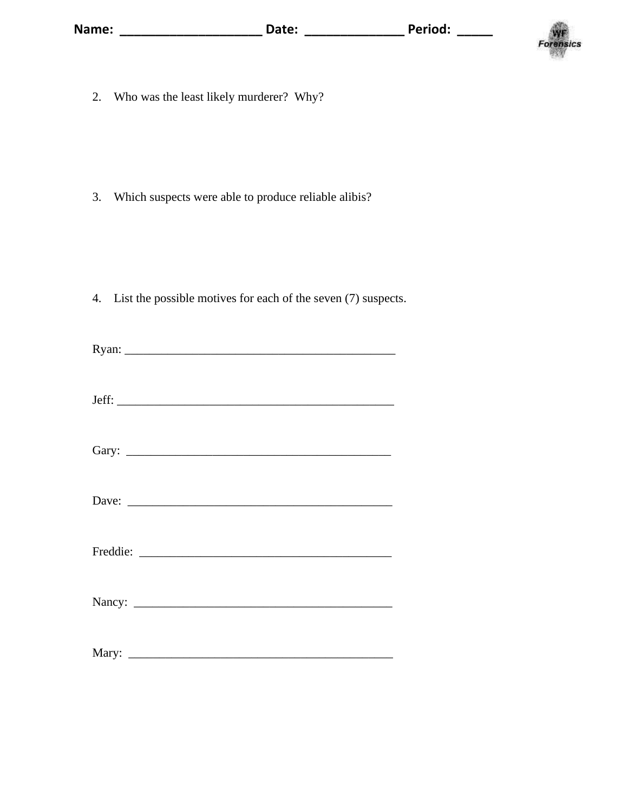| Name: | Date: | Period: |  |
|-------|-------|---------|--|
|       |       |         |  |



2. Who was the least likely murderer? Why?

3. Which suspects were able to produce reliable alibis?

4. List the possible motives for each of the seven (7) suspects.

| Jeff: |
|-------|
|       |
|       |
|       |
|       |
|       |